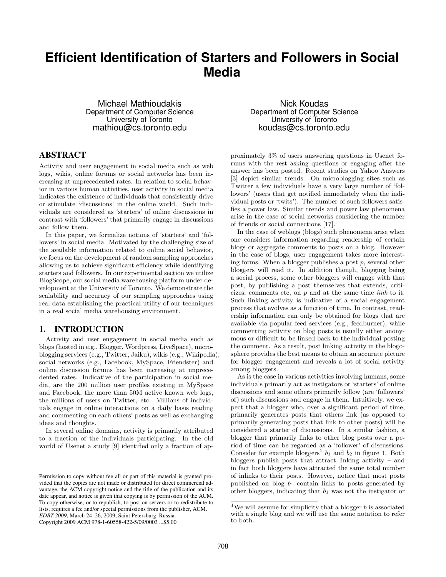# **Efficient Identification of Starters and Followers in Social Media**

Michael Mathioudakis Department of Computer Science University of Toronto mathiou@cs.toronto.edu

# ABSTRACT

Activity and user engagement in social media such as web logs, wikis, online forums or social networks has been increasing at unprecedented rates. In relation to social behavior in various human activities, user activity in social media indicates the existence of individuals that consistently drive or stimulate 'discussions' in the online world. Such individuals are considered as 'starters' of online discussions in contrast with 'followers' that primarily engage in discussions and follow them.

In this paper, we formalize notions of 'starters' and 'followers' in social media. Motivated by the challenging size of the available information related to online social behavior, we focus on the development of random sampling approaches allowing us to achieve significant efficiency while identifying starters and followers. In our experimental section we utilize BlogScope, our social media warehousing platform under development at the University of Toronto. We demonstrate the scalability and accuracy of our sampling approaches using real data establishing the practical utility of our techniques in a real social media warehousing environment.

# 1. INTRODUCTION

Activity and user engagement in social media such as blogs (hosted in e.g., Blogger, Wordpress, LiveSpace), microblogging services (e.g., Twitter, Jaiku), wikis (e.g., Wikipedia), social networks (e.g., Facebook, MySpace, Friendster) and online discussion forums has been increasing at unprecedented rates. Indicative of the participation in social media, are the 200 million user profiles existing in MySpace and Facebook, the more than 50M active known web logs, the millions of users on Twitter, etc. Millions of individuals engage in online interactions on a daily basis reading and commenting on each others' posts as well as exchanging ideas and thoughts.

In several online domains, activity is primarily attributed to a fraction of the individuals participating. In the old world of Usenet a study [9] identified only a fraction of ap-

Nick Koudas Department of Computer Science University of Toronto koudas@cs.toronto.edu

proximately 3% of users answering questions in Usenet forums with the rest asking questions or engaging after the answer has been posted. Recent studies on Yahoo Answers [3] depict similar trends. On microblogging sites such as Twitter a few individuals have a very large number of 'followers' (users that get notified immediately when the individual posts or 'twits'). The number of such followers satisfies a power law. Similar trends and power law phenomena arise in the case of social networks considering the number of friends or social connections [17].

In the case of weblogs (blogs) such phenomena arise when one considers information regarding readership of certain blogs or aggregate comments to posts on a blog. However in the case of blogs, user engagement takes more interesting forms. When a blogger publishes a post  $p$ , several other bloggers will read it. In addition though, blogging being a social process, some other bloggers will engage with that post, by publishing a post themselves that extends, criticizes, comments etc, on  $p$  and at the same time *link* to it. Such linking activity is indicative of a social engagement process that evolves as a function of time. In contrast, readership information can only be obtained for blogs that are available via popular feed services (e.g., feedburner), while commenting activity on blog posts is usually either anonymous or difficult to be linked back to the individual posting the comment. As a result, post linking activity in the blogosphere provides the best means to obtain an accurate picture for blogger engagement and reveals a lot of social activity among bloggers.

As is the case in various activities involving humans, some individuals primarily act as instigators or 'starters' of online discussions and some others primarily follow (are 'followers' of) such discussions and engage in them. Intuitively, we expect that a blogger who, over a significant period of time, primarily generates posts that others link (as opposed to primarily generating posts that link to other posts) will be considered a starter of discussions. In a similar fashion, a blogger that primarily links to other blog posts over a period of time can be regarded as a 'follower' of discussions. Consider for example bloggers<sup>1</sup>  $b_1$  and  $b_2$  in figure 1. Both bloggers publish posts that attract linking activity – and in fact both bloggers have attracted the same total number of inlinks to their posts. However, notice that most posts published on blog  $b_1$  contain links to posts generated by other bloggers, indicating that  $b_1$  was not the instigator or

Permission to copy without fee all or part of this material is granted provided that the copies are not made or distributed for direct commercial advantage, the ACM copyright notice and the title of the publication and its date appear, and notice is given that copying is by permission of the ACM. To copy otherwise, or to republish, to post on servers or to redistribute to lists, requires a fee and/or special permissions from the publisher, ACM. *EDBT 2009*, March 24–26, 2009, Saint Petersburg, Russia. Copyright 2009 ACM 978-1-60558-422-5/09/0003 ...\$5.00

<sup>&</sup>lt;sup>1</sup>We will assume for simplicity that a blogger  $b$  is associated with a single blog and we will use the same notation to refer to both.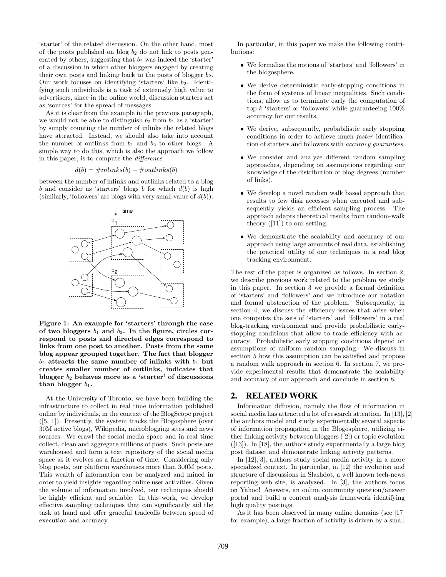'starter' of the related discussion. On the other hand, most of the posts published on blog  $b_2$  do not link to posts generated by others, suggesting that  $b_2$  was indeed the 'starter' of a discussion in which other bloggers engaged by creating their own posts and linking back to the posts of blogger  $b_2$ . Our work focuses on identifying 'starters' like  $b_2$ . Identifying such individuals is a task of extremely high value to advertisers, since in the online world, discussion starters act as 'sources' for the spread of messages.

As it is clear from the example in the previous paragraph, we would not be able to distinguish  $b_2$  from  $b_1$  as a 'starter' by simply counting the number of inlinks the related blogs have attracted. Instead, we should also take into account the number of outlinks from  $b_1$  and  $b_2$  to other blogs. A simple way to do this, which is also the approach we follow in this paper, is to compute the difference

$$
d(b) = \#inlinks(b) - \#outlinks(b)
$$

between the number of inlinks and outlinks related to a blog  $b$  and consider as 'starters' blogs  $b$  for which  $d(b)$  is high (similarly, 'followers' are blogs with very small value of  $d(b)$ ).



Figure 1: An example for 'starters' through the case of two bloggers  $b_1$  and  $b_2$ . In the figure, circles correspond to posts and directed edges correspond to links from one post to another. Posts from the same blog appear grouped together. The fact that blogger  $b_2$  attracts the same number of inlinks with  $b_1$  but creates smaller number of outlinks, indicates that blogger  $b_2$  behaves more as a 'starter' of discussions than blogger  $b_1$ .

At the University of Toronto, we have been building the infrastructure to collect in real time information published online by individuals, in the context of the BlogScope project ([5, 1]). Presently, the system tracks the Blogosphere (over 30M active blogs), Wikipedia, microblogging sites and news sources. We crawl the social media space and in real time collect, clean and aggregate millions of posts. Such posts are warehoused and form a text repository of the social media space as it evolves as a function of time. Considering only blog posts, our platform warehouses more than 300M posts. This wealth of information can be analyzed and mined in order to yield insights regarding online user activities. Given the volume of information involved, our techniques should be highly efficient and scalable. In this work, we develop effective sampling techniques that can significantly aid the task at hand and offer graceful tradeoffs between speed of execution and accuracy.

In particular, in this paper we make the following contributions:

- We formalize the notions of 'starters' and 'followers' in the blogosphere.
- We derive deterministic early-stopping conditions in the form of systems of linear inequalities. Such conditions, allow us to terminate early the computation of top  $k$  'starters' or 'followers' while guaranteeing  $100\%$ accuracy for our results.
- We derive, subsequently, probabilistic early stopping conditions in order to achieve much faster identification of starters and followers with accuracy guarantees.
- We consider and analyze different random sampling approaches, depending on assumptions regarding our knowledge of the distribution of blog degrees (number of links).
- We develop a novel random walk based approach that results to few disk accesses when executed and subsequently yields an efficient sampling process. The approach adapts theoretical results from random-walk theory  $([11])$  to our setting.
- We demonstrate the scalability and accuracy of our approach using large amounts of real data, establishing the practical utility of our techniques in a real blog tracking environment.

The rest of the paper is organized as follows. In section 2, we describe previous work related to the problem we study in this paper. In section 3 we provide a formal definition of 'starters' and 'followers' and we introduce our notation and formal abstraction of the problem. Subsequently, in section 4, we discuss the efficiency issues that arise when one computes the sets of 'starters' and 'followers' in a real blog-tracking environment and provide probabilistic earlystopping conditions that allow to trade efficiency with accuracy. Probabilistic early stopping conditions depend on assumptions of uniform random sampling. We discuss in section 5 how this assumption can be satisfied and propose a random walk approach in section 6. In section 7, we provide experimental results that demonstrate the scalability and accuracy of our approach and conclude in section 8.

# 2. RELATED WORK

Information diffusion, namely the flow of information in social media has attracted a lot of research attention. In [13], [2] the authors model and study experimentally several aspects of information propagation in the Blogosphere, utilizing either linking activity between bloggers ([2]) or topic evolution  $([13])$ . In [18], the authors study experimentally a large blog post dataset and demonstrate linking activity patterns.

In [12],[3], authors study social media activity in a more specialized context. In particular, in [12] the evolution and structure of discussions in Slashdot, a well known tech-news reporting web site, is analyzed. In [3], the authors focus on Yahoo! Answers, an online community question/answer portal and build a content analysis framework identifying high quality postings.

As it has been observed in many online domains (see [17] for example), a large fraction of activity is driven by a small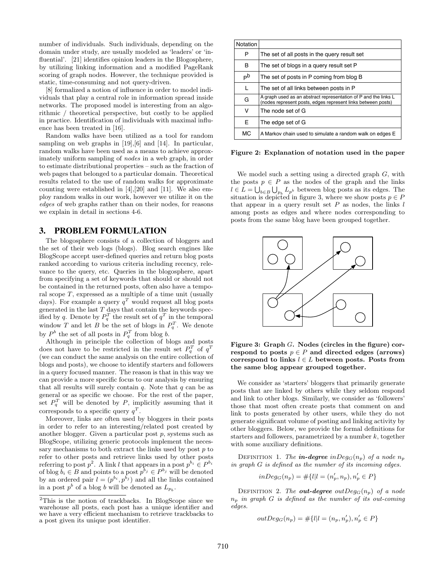number of individuals. Such individuals, depending on the domain under study, are usually modeled as 'leaders' or 'influential'. [21] identifies opinion leaders in the Blogosphere, by utilizing linking information and a modified PageRank scoring of graph nodes. However, the technique provided is static, time-consuming and not query-driven.

[8] formalized a notion of influence in order to model individuals that play a central role in information spread inside networks. The proposed model is interesting from an algorithmic / theoretical perspective, but costly to be applied in practice. Identification of individuals with maximal influence has been treated in [16].

Random walks have been utilized as a tool for random sampling on web graphs in [19],[6] and [14]. In particular, random walks have been used as a means to achieve approximately uniform sampling of nodes in a web graph, in order to estimate distributional properties – such as the fraction of web pages that belonged to a particular domain. Theoretical results related to the use of random walks for approximate counting were established in [4],[20] and [11]. We also employ random walks in our work, however we utilize it on the edges of web graphs rather than on their nodes, for reasons we explain in detail in sections 4-6.

## 3. PROBLEM FORMULATION

The blogosphere consists of a collection of bloggers and the set of their web logs (blogs). Blog search engines like BlogScope accept user-defined queries and return blog posts ranked according to various criteria including recency, relevance to the query, etc. Queries in the blogosphere, apart from specifying a set of keywords that should or should not be contained in the returned posts, often also have a temporal scope  $T$ , expressed as a multiple of a time unit (usually days). For example a query  $q^T$  would request all blog posts generated in the last  $T$  days that contain the keywords specified by q. Denote by  $P_q^T$  the result set of  $q^T$  in the temporal window T and let B be the set of blogs in  $P_q^T$ . We denote by  $P^b$  the set of all posts in  $P_q^T$  from blog b.

Although in principle the collection of blogs and posts does not have to be restricted in the result set  $P_q^T$  of  $q^T$ (we can conduct the same analysis on the entire collection of blogs and posts), we choose to identify starters and followers in a query focused manner. The reason is that in this way we can provide a more specific focus to our analysis by ensuring that all results will surely contain  $q$ . Note that  $q$  can be as general or as specific we choose. For the rest of the paper, set  $P_q^T$  will be denoted by P, implicitly assuming that it corresponds to a specific query  $q^T$ .

Moreover, links are often used by bloggers in their posts in order to refer to an interesting/related post created by another blogger. Given a particular post p, systems such as BlogScope, utilizing generic protocols implement the necessary mechanisms to both extract the links used by post  $p$  to refer to other posts and retrieve links used by other posts referring to post  $p^2$ . A link l that appears in a post  $p^{b_i} \in P^{b_i}$ of blog  $b_i \in B$  and points to a post  $p^{b_j} \in P^{b_j}$  will be denoted by an ordered pair  $l = (p^{b_i}, p^{b_j})$  and all the links contained in a post  $p^b$  of a blog b will be denoted as  $L_{p_b}$ .

| Notation       |                                                                                                                                 |  |
|----------------|---------------------------------------------------------------------------------------------------------------------------------|--|
| Р              | The set of all posts in the query result set                                                                                    |  |
| B              | The set of blogs in a query result set P                                                                                        |  |
| P <sub>p</sub> | The set of posts in P coming from blog B                                                                                        |  |
| L              | The set of all links between posts in P                                                                                         |  |
| G              | A graph used as an abstract representation of P and the links L<br>(nodes represent posts, edges represent links between posts) |  |
| v              | The node set of G                                                                                                               |  |
| E              | The edge set of G                                                                                                               |  |
| МC             | A Markov chain used to simulate a random walk on edges E                                                                        |  |

Figure 2: Explanation of notation used in the paper

We model such a setting using a directed graph G, with the posts  $p \in P$  as the nodes of the graph and the links  $l \in L = \bigcup_{b \in B} \bigcup_{p_b} L_{p^b}$  between blog posts as its edges. The situation is depicted in figure 3, where we show posts  $p \in P$ that appear in a query result set  $P$  as nodes, the links  $l$ among posts as edges and where nodes corresponding to posts from the same blog have been grouped together.



Figure 3: Graph G. Nodes (circles in the figure) correspond to posts  $p \in P$  and directed edges (arrows) correspond to links  $l \in L$  between posts. Posts from the same blog appear grouped together.

We consider as 'starters' bloggers that primarily generate posts that are linked by others while they seldom respond and link to other blogs. Similarly, we consider as 'followers' those that most often create posts that comment on and link to posts generated by other users, while they do not generate significant volume of posting and linking activity by other bloggers. Below, we provide the formal definitions for starters and followers, parametrized by a number  $k$ , together with some auxiliary definitions.

DEFINITION 1. The **in-degree** inDeg<sub>G</sub>( $n_p$ ) of a node  $n_p$ in graph G is defined as the number of its incoming edges.

$$
inDeg_G(n_p) = \#\{l | l = (n'_p, n_p), n'_p \in P\}
$$

DEFINITION 2. The **out-degree** outDeg<sub>G</sub>( $n_p$ ) of a node  $n_p$  in graph G is defined as the number of its out-coming edges.

$$
outDeg_G(n_p) = #\{l| l = (n_p, n'_p), n'_p \in P\}
$$

<sup>&</sup>lt;sup>2</sup>This is the notion of trackbacks. In BlogScope since we warehouse all posts, each post has a unique identifier and we have a very efficient mechanism to retrieve trackbacks to a post given its unique post identifier.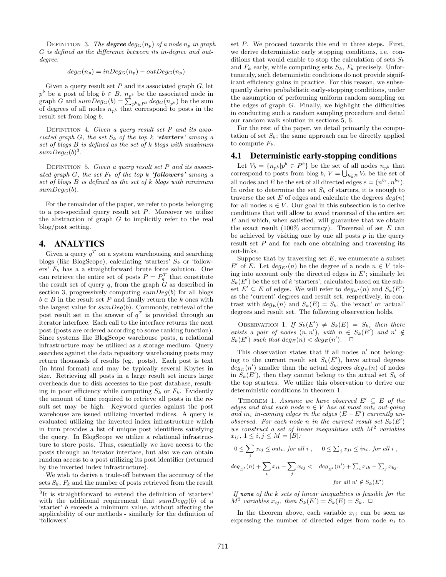DEFINITION 3. The **degree**  $deg_G(n_p)$  of a node  $n_p$  in graph G is defined as the difference between its in-degree and outdegree.

$$
deg_G(n_p) = inDeg_G(n_p) - outDeg_G(n_p)
$$

Given a query result set  $P$  and its associated graph  $G$ , let  $p^{b}$  be a post of blog  $b \in B$ ,  $n_{p^{b}}$  be the associated node in graph G and  $sumDeg_G(b) = \sum_{p^b \in P^b} deg_G(n_{p^b})$  be the sum of degrees of all nodes  $n_{p<sup>b</sup>}$  that correspond to posts in the result set from blog b.

DEFINITION 4. Given a query result set  $P$  and its associated graph G, the set  $S_k$  of the top k 'starters' among a set of blogs B is defined as the set of k blogs with maximum  $sumDegG(b)^3$ .

DEFINITION 5. Given a query result set P and its associated graph G, the set  $F_k$  of the top k 'followers' among a set of blogs  $B$  is defined as the set of  $k$  blogs with minimum  $sumDeg_G(b)$ .

For the remainder of the paper, we refer to posts belonging to a pre-specified query result set  $P$ . Moreover we utilize the abstraction of graph  $G$  to implicitly refer to the real blog/post setting.

# 4. ANALYTICS

Given a query  $q^T$  on a system warehousing and searching blogs (like BlogScope), calculating 'starters'  $S_k$  or 'followers'  $F_k$  has a a straightforward brute force solution. One can retrieve the entire set of posts  $P = P_q^T$  that constitute the result set of query  $q$ , from the graph  $G$  as described in section 3, progressively computing  $sumDeg(b)$  for all blogs  $b \in B$  in the result set P and finally return the k ones with the largest value for  $sumDeg(b)$ . Commonly, retrieval of the post result set in the answer of  $q<sup>T</sup>$  is provided through an iterator interface. Each call to the interface returns the next post (posts are ordered according to some ranking function). Since systems like BlogScope warehouse posts, a relational infrastructure may be utilized as a storage medium. Query searches against the data repository warehousing posts may return thousands of results (eg. posts). Each post is text (in html format) and may be typically several Kbytes in size. Retrieving all posts in a large result set incurs large overheads due to disk accesses to the post database, resulting in poor efficiency while computing  $S_k$  or  $F_k$ . Evidently the amount of time required to retrieve all posts in the result set may be high. Keyword queries against the post warehouse are issued utilizing inverted indices. A query is evaluated utilizing the inverted index infrastructure which in turn provides a list of unique post identifiers satisfying the query. In BlogScope we utilize a relational infrastructure to store posts. Thus, essentially we have access to the posts through an iterator interface, but also we can obtain random access to a post utilizing its post identifier (returned by the inverted index infrastructure).

We wish to derive a trade-off between the accuracy of the sets  $S_k$ ,  $F_k$  and the number of posts retrieved from the result

set P. We proceed towards this end in three steps. First, we derive deterministic early stopping conditions, i.e. conditions that would enable to stop the calculation of sets  $S_k$ and  $F_k$  early, while computing sets  $S_k$ ,  $F_k$  precisely. Unfortunately, such deterministic conditions do not provide significant efficiency gains in practice. For this reason, we subsequently derive probabilistic early-stopping conditions, under the assumption of performing uniform random sampling on the edges of graph  $G$ . Finally, we highlight the difficulties in conducting such a random sampling procedure and detail our random walk solution in sections 5, 6.

For the rest of the paper, we detail primarily the computation of set  $S_k$ ; the same approach can be directly applied to compute  $F_k$ .

## 4.1 Deterministic early-stopping conditions

Let  $V_b = \{n_{p^b} | p^b \in P^b\}$  be the set of all nodes  $n_{p^b}$  that correspond to posts from blog  $b, V = \bigcup_{b \in B} V_b$  be the set of all nodes and E be the set of all directed edges  $e = (n^{b_1}, n^{b_2})$ . In order to determine the set  $S_k$  of starters, it is enough to traverse the set E of edges and calculate the degrees  $deg(n)$ for all nodes  $n \in V$ . Our goal in this subsection is to derive conditions that will allow to avoid traversal of the entire set  $E$  and which, when satisfied, will guarantee that we obtain the exact result (100% accuracy). Traversal of set  $E$  can be achieved by visiting one by one all posts  $p$  in the query result set  $P$  and for each one obtaining and traversing its out-links.

Suppose that by traversing set  $E$ , we enumerate a subset E' of E. Let  $deg_{E'}(n)$  be the degree of a node  $n \in V$  taking into account only the directed edges in  $E'$ ; similarly let  $S_k(E')$  be the set of k 'starters', calculated based on the subset  $E' \subseteq E$  of edges. We will refer to  $deg_{E'}(n)$  and  $S_k(E')$ as the 'current' degrees and result set, respectively, in contrast with  $deg_E(n)$  and  $S_k(E) = S_k$ , the 'exact' or 'actual' degrees and result set. The following observation holds.

OBSERVATION 1. If  $S_k(E') \neq S_k(E) = S_k$ , then there exists a pair of nodes  $(n, n')$ , with  $n \in S_k(E')$  and  $n' \notin$  $S_k(E')$  such that  $deg_E(n) < deg_E(n')$ .  $\Box$ 

This observation states that if all nodes  $n'$  not belonging to the current result set  $S_k(E')$ , have actual degrees  $deg_E(n')$  smaller than the actual degrees  $deg_E(n)$  of nodes in  $S_k(E')$ , then they cannot belong to the actual set  $S_k$  of the top starters. We utilize this observation to derive our deterministic conditions in theorem 1.

THEOREM 1. Assume we have observed  $E' \subseteq E$  of the edges and that each node  $n \in V$  has at most out<sub>i</sub> out-going and in<sub>i</sub> in-coming edges in the edges  $(E - E')$  currently unobserved. For each node n in the current result set  $S_k(E')$ we construct a set of linear inequalities with  $M^2$  variables  $x_{ij}, 1 \leq i, j \leq M = |B|$ :

$$
0 \le \sum_{j} x_{ij} \le out_i, \text{ for all } i, \quad 0 \le \sum_{j} x_{ji} \le in_i, \text{ for all } i,
$$
  

$$
\deg_{E'}(n) + \sum_{i} x_{it} - \sum_{j} x_{tj} < \deg_{E'}(n') + \sum_{i} x_{ib} - \sum_{j} x_{bj},
$$
  

$$
\text{for all } n' \notin S_k(E')
$$

If none of the  $k$  sets of linear inequalities is feasible for the  $M^2$  variables  $x_{ij}$ , then  $S_k(E') = S_k(E) = S_k$ .  $\Box$ 

In the theorem above, each variable  $x_{ij}$  can be seen as expressing the number of directed edges from node  $n_i$  to

<sup>&</sup>lt;sup>3</sup>It is straightforward to extend the definition of 'starters' with the additional requirement that  $sumDeg_G(b)$  of a 'starter' b exceeds a minimum value, without affecting the applicability of our methods - similarly for the definition of 'followers'.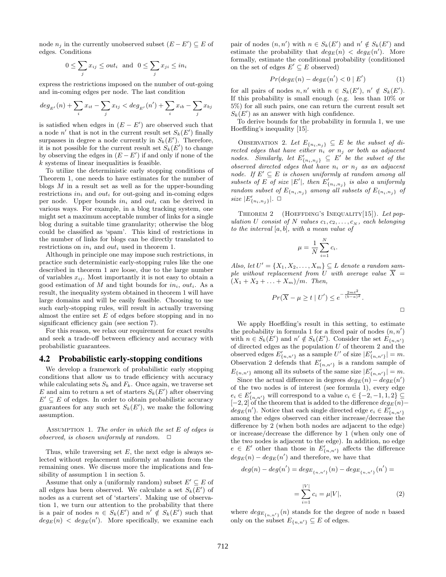node  $n_j$  in the currently unobserved subset  $(E - E') \subseteq E$  of edges. Conditions

$$
0 \le \sum_j x_{ij} \le out_i \text{ and } 0 \le \sum_j x_{ji} \le in_i
$$

express the restrictions imposed on the number of out-going and in-coming edges per node. The last condition

$$
deg_{E'}(n) + \sum_{i} x_{it} - \sum_{j} x_{tj} < deg_{E'}(n') + \sum_{i} x_{ib} - \sum_{j} x_{bj}
$$

is satisfied when edges in  $(E - E')$  are observed such that a node n' that is not in the current result set  $S_k(E')$  finally surpasses in degree a node currently in  $S_k(E')$ . Therefore, it is not possible for the current result set  $S_k(E')$  to change by observing the edges in  $(E - E')$  if and only if none of the k systems of linear inequalities is feasible.

To utilize the deterministic early stopping conditions of Theorem 1, one needs to have estimates for the number of blogs  $M$  in a result set as well as for the upper-bounding restrictions  $in_i$  and  $out_i$  for out-going and in-coming edges per node. Upper bounds  $in_i$  and out<sub>i</sub> can be derived in various ways. For example, in a blog tracking system, one might set a maximum acceptable number of links for a single blog during a suitable time granularity; otherwise the blog could be classified as 'spam'. This kind of restrictions in the number of links for blogs can be directly translated to restrictions on  $in_i$  and  $out_i$  used in theorem 1.

Although in principle one may impose such restrictions, in practice such deterministic early-stopping rules like the one described in theorem 1 are loose, due to the large number of variables  $x_{ij}$ . Most importantly it is not easy to obtain a good estimation of M and tight bounds for  $in_i$ ,  $out_i$ . As a result, the inequality system obtained in theorem 1 will have large domains and will be easily feasible. Choosing to use such early-stopping rules, will result in actually traversing almost the entire set  $E$  of edges before stopping and in no significant efficiency gain (see section 7).

For this reason, we relax our requirement for exact results and seek a trade-off between efficiency and accuracy with probabilistic guarantees.

#### 4.2 Probabilistic early-stopping conditions

We develop a framework of probabilistic early stopping conditions that allow us to trade efficiency with accuracy while calculating sets  $S_k$  and  $F_k$ . Once again, we traverse set E and aim to return a set of starters  $S_k(E')$  after observing  $E' \subseteq E$  of edges. In order to obtain probabilistic accuracy guarantees for any such set  $S_k(E')$ , we make the following assumption.

ASSUMPTION 1. The order in which the set  $E$  of edges is observed, is chosen uniformly at random.  $\Box$ 

Thus, while traversing set  $E$ , the next edge is always selected without replacement uniformly at random from the remaining ones. We discuss more the implications and feasibility of assumption 1 in section 5.

Assume that only a (uniformly random) subset  $E' \subseteq E$  of all edges has been observed. We calculate a set  $S_k(E')$  of nodes as a current set of 'starters'. Making use of observation 1, we turn our attention to the probability that there is a pair of nodes  $n \in S_k(E')$  and  $n' \notin S_k(E')$  such that  $deg_E(n) < deg_E(n')$ . More specifically, we examine each

pair of nodes  $(n, n')$  with  $n \in S_k(E')$  and  $n' \notin S_k(E')$  and estimate the probability that  $deg_E(n) < deg_E(n')$ . More formally, estimate the conditional probability (conditioned on the set of edges  $E' \subseteq E$  observed)

$$
Pr(deg_E(n) - deg_E(n') < 0 | E')
$$
\n(1)

for all pairs of nodes  $n, n'$  with  $n \in S_k(E')$ ,  $n' \notin S_k(E')$ . If this probability is small enough (e.g. less than 10% or 5%) for all such pairs, one can return the current result set  $S_k(E')$  as an answer with high confidence.

To derive bounds for the probability in formula 1, we use Hoeffding's inequality [15].

OBSERVATION 2. Let  $E_{\{n_i,n_j\}} \subseteq E$  be the subset of directed edges that have either  $n_i$  or  $n_j$  or both as adjacent nodes. Similarly, let  $E'_{\{n_i,n_j\}} \subseteq E'$  be the subset of the observed directed edges that have  $n_i$  or  $n_j$  as an adjacent node. If  $E' \subseteq E$  is chosen uniformly at random among all subsets of E of size |E'|, then  $E'_{\{n_i,n_j\}}$  is also a uniformly random subset of  $E_{\{n_i,n_j\}}$  among all subsets of  $E_{\{n_i,n_j\}}$  of size  $|E'_{\{n_i,n_j\}}|$ .  $\Box$ 

THEOREM 2 (HOEFFDING'S INEQUALITY[15]). Let population U consist of N values  $c_1, c_2, \ldots, c_N$ , each belonging to the interval  $[a, b]$ , with a mean value of

$$
\mu = \frac{1}{N} \sum_{i=1}^{N} c_i.
$$

Also, let  $U' = \{X_1, X_2, \ldots, X_m\} \subseteq L$  denote a random sample without replacement from U with average value  $\overline{X}$  =  $(X_1 + X_2 + \ldots + X_m)/m$ . Then,

$$
Pr(\overline{X} - \mu \ge t \mid U') \le e^{-\frac{2mt^2}{(b-a)^2}}.
$$

We apply Hoeffding's result in this setting, to estimate the probability in formula 1 for a fixed pair of nodes  $(n, n)$ with  $n \in S_k(E')$  and  $n' \notin S_k(E')$ . Consider the set  $E_{\{n,n'\}}$ of directed edges as the population  $U$  of theorem 2 and the observed edges  $E'_{\{n,n'\}}$  as a sample U' of size  $|E'_{\{n,n'\}}| = m$ . Observation 2 defends that  $E'_{\{n,n'\}}$  is a random sample of  $E_{\{n,n'\}}$  among all its subsets of the same size  $|E'_{\{n,n'\}}|=m$ . Since the actual difference in degrees  $deg_E(n) - deg_E(n')$ of the two nodes is of interest (see formula 1), every edge

 $e_i \in E'_{\{n,n'\}}$  will correspond to a value  $c_i \in \{-2,-1,1,2\} \subseteq$  $[-2, 2]$  of the theorem that is added to the difference  $deg_E(n)$ −  $deg_E(n')$ . Notice that each single directed edge  $e_i \in E'_{\{n,n'\}}$ among the edges observed can either increase/decrease the difference by 2 (when both nodes are adjacent to the edge) or increase/decrease the difference by 1 (when only one of the two nodes is adjacent to the edge). In addition, no edge  $e \in E'$  other than those in  $E'_{\{n,n'\}}$  affects the difference  $deg_E(n) - deg_E(n')$  and therefore, we have that

$$
deg(n) - deg(n') = deg_{E_{\{n,n'\}}}(n) - deg_{E_{\{n,n'\}}}(n') =
$$

$$
= \sum_{i=1}^{|V|} c_i = \mu |V|,
$$
(2)

where  $deg_{E_{\{n,n'\}}}(n)$  stands for the degree of node n based only on the subset  $E_{\{n,n'\}} \subseteq E$  of edges.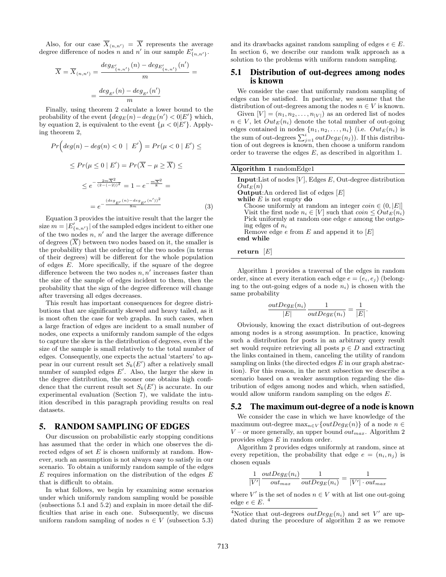Also, for our case  $\overline{X}_{(n,n')} = \overline{X}$  represents the average degree difference of nodes *n* and *n'* in our sample  $E'_{\{n,n'\}}$ .

$$
\overline{X} = \overline{X}_{(n,n')} = \frac{deg_{E'_{\{n,n'\}}}(n) - deg_{E'_{\{n,n'\}}}(n')}{m} =
$$
  
= 
$$
\frac{deg_{E'}(n) - deg_{E'}(n')}{m}
$$

Finally, using theorem 2 calculate a lower bound to the probability of the event  $\{deg_E(n) - deg_E(n') < 0 | E' \}$  which, by equation 2, is equivalent to the event  $\{\mu < 0 | E' \}$ . Applying theorem 2,

$$
Pr\left(\deg(n) - \deg(n) < 0 \mid E'\right) = Pr(\mu < 0 \mid E') \le
$$
\n
$$
\leq Pr(\mu \leq 0 \mid E') = Pr(\overline{X} - \mu \geq \overline{X}) \le
$$
\n
$$
\leq e^{-\frac{2m\overline{X}^2}{(2 - (-2))^2}} = 1 - e^{-\frac{m\overline{X}^2}{8}} =
$$
\n
$$
= e^{-\frac{(\deg_{E'}(n) - \deg_{E'}(n'))^2}{8m}} \tag{3}
$$

Equation 3 provides the intuitive result that the larger the size  $m = |E'_{\{n,n'\}}|$  of the sampled edges incident to either one of the two nodes  $n, n'$  and the larger the average difference of degrees  $(\overline{X})$  between two nodes based on it, the smaller is the probability that the ordering of the two nodes (in terms of their degrees) will be different for the whole population of edges E. More specifically, if the square of the degree difference between the two nodes  $n, n'$  increases faster than the size of the sample of edges incident to them, then the probability that the sign of the degree difference will change after traversing all edges decreases.

This result has important consequences for degree distributions that are significantly skewed and heavy tailed, as it is most often the case for web graphs. In such cases, when a large fraction of edges are incident to a small number of nodes, one expects a uniformly random sample of the edges to capture the skew in the distribution of degrees, even if the size of the sample is small relatively to the total number of edges. Consequently, one expects the actual 'starters' to appear in our current result set  $S_k(E')$  after a relatively small number of sampled edges  $E'$ . Also, the larger the skew in the degree distribution, the sooner one obtains high confidence that the current result set  $S_k(E')$  is accurate. In our experimental evaluation (Section 7), we validate the intuition described in this paragraph providing results on real datasets.

# 5. RANDOM SAMPLING OF EDGES

Our discussion on probabilistic early stopping conditions has assumed that the order in which one observes the directed edges of set  $E$  is chosen uniformly at random. However, such an assumption is not always easy to satisfy in our scenario. To obtain a uniformly random sample of the edges  $E$  requires information on the distribution of the edges  $E$ that is difficult to obtain.

In what follows, we begin by examining some scenarios under which uniformly random sampling would be possible (subsections 5.1 and 5.2) and explain in more detail the difficulties that arise in each one. Subsequently, we discuss uniform random sampling of nodes  $n \in V$  (subsection 5.3) and its drawbacks against random sampling of edges  $e \in E$ . In section 6, we describe our random walk approach as a solution to the problems with uniform random sampling.

#### 5.1 Distribution of out-degrees among nodes is known

We consider the case that uniformly random sampling of edges can be satisfied. In particular, we assume that the distribution of out-degrees among the nodes  $n \in V$  is known.

Given  $[V] = (n_1, n_2, \ldots, n_{|V|})$  as an ordered list of nodes  $n \in V$ , let  $Out_E(n_i)$  denote the total number of out-going edges contained in nodes  $\{n_1, n_2, \ldots, n_i\}$  (i.e.  $Out_E(n_i)$  is the sum of out-degrees  $\sum_{j=1}^{i} outDeg_E(n_j)$ . If this distribution of out degrees is known, then choose a uniform random order to traverse the edges E, as described in algorithm 1.

| <b>Algorithm 1</b> randomEdge1                                                                                                                                                                                                                                                                                                                                                                   |
|--------------------------------------------------------------------------------------------------------------------------------------------------------------------------------------------------------------------------------------------------------------------------------------------------------------------------------------------------------------------------------------------------|
| <b>Input:</b> List of nodes $[V]$ , Edges E, Out-degree distribution<br>$Out_E(n)$<br><b>Output:</b> An ordered list of edges $[E]$<br>while $E$ is not empty do<br>Choose uniformly at random an integer $coin \in (0,  E ]$<br>Visit the first node $n_i \in [V]$ such that $\text{coin} \leq \text{Out}_E(n_i)$<br>Pick uniformly at random one edge e among the outgo-<br>ing edges of $n_i$ |
| Remove edge $e$ from $E$ and append it to $ E $<br>end while                                                                                                                                                                                                                                                                                                                                     |

return  $[E]$ 

Algorithm 1 provides a traversal of the edges in random order, since at every iteration each edge  $e = (e_i, e_j)$  (belonging to the out-going edges of a node  $n_i$ ) is chosen with the same probability

$$
\frac{outDeg_E(n_i)}{|E|}\frac{1}{outDeg_E(n_i)} = \frac{1}{|E|}.
$$

Obviously, knowing the exact distribution of out-degrees among nodes is a strong assumption. In practice, knowing such a distribution for posts in an arbitrary query result set would require retrieving all posts  $p \in D$  and extracting the links contained in them, canceling the utility of random sampling on links (the directed edges  $E$  in our graph abstraction). For this reason, in the next subsection we describe a scenario based on a weaker assumption regarding the distribution of edges among nodes and which, when satisfied, would allow uniform random sampling on the edges E.

#### 5.2 The maximum out-degree of a node is known

We consider the case in which we have knowledge of the maximum out-degree  $\max_{n\in V}\{outDeg_E(n)\}\)$  of a node  $n \in$  $V$  – or more generally, an upper bound  $out_{max}$ . Algorithm 2 provides edges E in random order.

Algorithm 2 provides edges uniformly at random, since at every repetition, the probability that edge  $e = (n_i, n_j)$  is chosen equals

$$
\frac{1}{|V'|}\frac{outDeg_E(n_i)}{out_{max}}\frac{1}{outDeg_E(n_i)}=\frac{1}{|V'|\cdot out_{max}}
$$

where  $V'$  is the set of nodes  $n \in V$  with at list one out-going edge  $e \in E$ .<sup>4</sup>

<sup>&</sup>lt;sup>4</sup>Notice that out-degrees  $outDeg_E(n_i)$  and set V' are updated during the procedure of algorithm 2 as we remove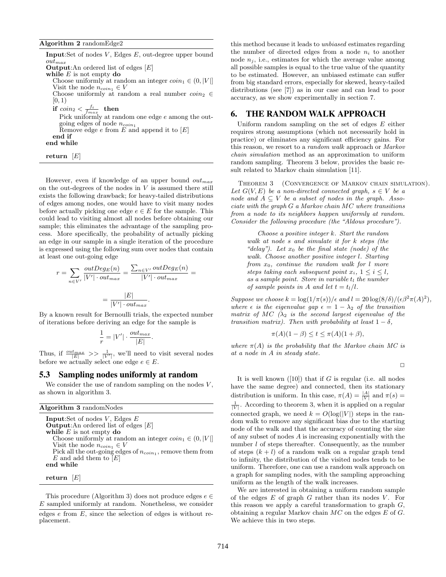Input:Set of nodes  $V$ , Edges  $E$ , out-degree upper bound  $out_{max}$ **Output:**An ordered list of edges  $[E]$ while  $E$  is not empty do Choose uniformly at random an integer  $coin_1 \in (0, |V|]$ Visit the node  $n_{coin_1} \in V$ Choose uniformly at random a real number  $coin_2 \in$  $[0, 1)$  $\quad \text{if } coin_2 < \frac{f_i}{f_{max}} \text{ } \text{ } \text{ then}$ Pick uniformly at random one edge e among the outgoing edges of node  $n_{coin_1}$ Remove edge  $e$  from  $E$  and append it to  $[E]$ end if end while

return  $[E]$ 

However, even if knowledge of an upper bound  $out_{max}$ on the out-degrees of the nodes in  $V$  is assumed there still exists the following drawback; for heavy-tailed distributions of edges among nodes, one would have to visit many nodes before actually picking one edge  $e \in E$  for the sample. This could lead to visiting almost all nodes before obtaining our sample; this eliminates the advantage of the sampling process. More specifically, the probability of actually picking an edge in our sample in a single iteration of the procedure is expressed using the following sum over nodes that contain at least one out-going edge

$$
r = \sum_{n \in V'} \frac{outDeg_E(n)}{|V'| \cdot out_{max}} = \frac{\sum_{n \in V'} outDeg_E(n)}{|V'| \cdot out_{max}} = \frac{|E|}{|V'| \cdot out_{max}}.
$$

By a known result for Bernoulli trials, the expected number of iterations before deriving an edge for the sample is

$$
\frac{1}{r} = |V'| \cdot \frac{out_{max}}{|E|}
$$

.

Thus, if  $\frac{\partial ut_{max}}{|E|} \gg \frac{1}{|V'|}$ , we'll need to visit several nodes before we actually select one edge  $e \in E$ .

#### 5.3 Sampling nodes uniformly at random

We consider the use of random sampling on the nodes  $V$ , as shown in algorithm 3.

| <b>Algorithm 3</b> randomNodes                                  |
|-----------------------------------------------------------------|
| <b>Input:</b> Set of nodes $V$ , Edges $E$                      |
| <b>Output:</b> An ordered list of edges $[E]$                   |
| while $E$ is not empty do                                       |
| Choose uniformly at random an integer $coin_1 \in (0,  V ]$     |
| Visit the node $n_{coin_1} \in V$                               |
| Pick all the out-going edges of $n_{coin_1}$ , remove them from |
| $E$ and add them to $\overline{E}$                              |
| end while                                                       |
|                                                                 |
| return $ E $                                                    |
|                                                                 |

This procedure (Algorithm 3) does not produce edges  $e \in$ E sampled uniformly at random. Nonetheless, we consider this method because it leads to unbiased estimates regarding the number of directed edges from a node  $n_i$  to another node  $n_i$ , i.e., estimates for which the average value among all possible samples is equal to the true value of the quantity to be estimated. However, an unbiased estimate can suffer from big standard errors, especially for skewed, heavy-tailed distributions (see [7]) as in our case and can lead to poor accuracy, as we show experimentally in section 7.

# 6. THE RANDOM WALK APPROACH

Uniform random sampling on the set of edges  $E$  either requires strong assumptions (which not necessarily hold in practice) or eliminates any significant efficiency gains. For this reason, we resort to a random walk approach or Markov chain simulation method as an approximation to uniform random sampling. Theorem 3 below, provides the basic result related to Markov chain simulation [11].

Theorem 3 (Convergence of Markov chain simulation). Let  $G(V, E)$  be a non-directed connected graph,  $s \in V$  be a node and  $A \subseteq V$  be a subset of nodes in the graph. Associate with the graph G a Markov chain MC where transitions from a node to its neighbors happen uniformly at random. Consider the following procedure (the "Aldous procedure").

Choose a positive integer k. Start the random walk at node s and simulate it for k steps (the "delay"). Let  $x_0$  be the final state (node) of the walk. Choose another positive integer l. Starting from  $x_0$ , continue the random walk for  $l$  more steps taking each subsequent point  $x_i$ ,  $1 \leq i \leq l$ , as a sample point. Store in variable  $t_l$  the number of sample points in A and let  $t = t_l/l$ .

Suppose we choose  $k = \log(1/\pi(s))/\epsilon$  and  $l = 20 \log(8/\delta)/(\epsilon \beta^2 \pi(A)^2)$ , where  $\epsilon$  is the eigenvalue gap  $\epsilon = 1 - \lambda_2$  of the transition matrix of MC  $(\lambda_2$  is the second largest eigenvalue of the transition matrix). Then with probability at least  $1 - \delta$ ,

$$
\pi(A)(1 - \beta) \le t \le \pi(A)(1 + \beta),
$$

where  $\pi(A)$  is the probability that the Markov chain MC is at a node in A in steady state.

 $\Box$ 

It is well known  $([10])$  that if G is regular (i.e. all nodes have the same degree) and connected, then its stationary distribution is uniform. In this case,  $\pi(A) = \frac{|A|}{|V|}$  and  $\pi(s) =$  $\frac{1}{|V|}$ . According to theorem 3, when it is applied on a regular connected graph, we need  $k = O(\log(|V|))$  steps in the random walk to remove any significant bias due to the starting node of the walk and that the accuracy of counting the size of any subset of nodes A is increasing exponentially with the number *l* of steps thereafter. Consequently, as the number of steps  $(k + l)$  of a random walk on a regular graph tend to infinity, the distribution of the visited nodes tends to be uniform. Therefore, one can use a random walk approach on a graph for sampling nodes, with the sampling approaching uniform as the length of the walk increases.

We are interested in obtaining a uniform random sample of the edges  $E$  of graph  $G$  rather than its nodes  $V$ . For this reason we apply a careful transformation to graph  $G$ , obtaining a regular Markov chain MC on the edges E of G. We achieve this in two steps.

edges  $e$  from  $E$ , since the selection of edges is without replacement.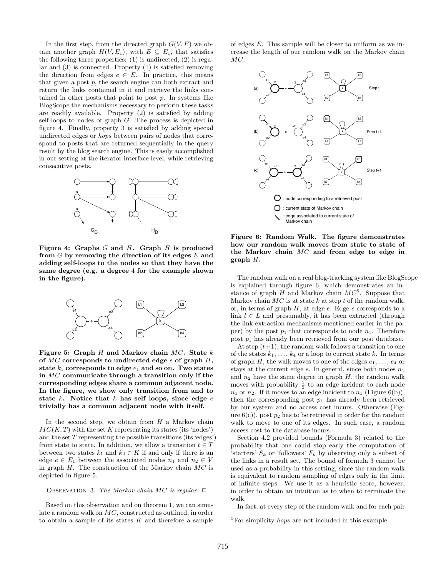In the first step, from the directed graph  $G(V, E)$  we obtain another graph  $H(V, E_1)$ , with  $E \subseteq E_1$ , that satisfies the following three properties:  $(1)$  is undirected,  $(2)$  is regular and (3) is connected. Property (1) is satisfied removing the direction from edges  $e \in E$ . In practice, this means that given a post  $p$ , the search engine can both extract and return the links contained in it and retrieve the links contained in other posts that point to post  $p$ . In systems like BlogScope the mechanisms necessary to perform these tasks are readily available. Property (2) is satisfied by adding self-loops to nodes of graph G. The process is depicted in figure 4. Finally, property 3 is satisfied by adding special undirected edges or hops between pairs of nodes that correspond to posts that are returned sequentially in the query result by the blog search engine. This is easily accomplished in our setting at the iterator interface level, while retrieving consecutive posts.



Figure 4: Graphs  $G$  and  $H$ . Graph  $H$  is produced from  $G$  by removing the direction of its edges  $E$  and adding self-loops to the nodes so that they have the same degree (e.g. a degree 4 for the example shown in the figure).



Figure 5: Graph  $H$  and Markov chain  $MC$ . State  $k$ of  $MC$  corresponds to undirected edge  $e$  of graph  $H$ , state  $k_1$  corresponds to edge  $e_1$  and so on. Two states in  $MC$  communicate through a transition only if the corresponding edges share a common adjacent node. In the figure, we show only transition from and to state k. Notice that k has self loops, since edge  $e$ trivially has a common adjacent node with itself.

In the second step, we obtain from  $H$  a Markov chain  $MC(K,T)$  with the set K representing its states (its 'nodes') and the set  $T$  representing the possible transitions (its 'edges') from state to state. In addition, we allow a transition  $t \in T$ between two states  $k_1$  and  $k_2 \in K$  if and only if there is an edge  $e \in E_1$  between the associated nodes  $n_1$  and  $n_2 \in V$ in graph  $H$ . The construction of the Markov chain  $MC$  is depicted in figure 5.

#### OBSERVATION 3. The Markov chain MC is regular.  $\Box$

Based on this observation and on theorem 1, we can simulate a random walk on MC, constructed as outlined, in order to obtain a sample of its states  $K$  and therefore a sample of edges E. This sample will be closer to uniform as we increase the length of our random walk on the Markov chain MC.



Figure 6: Random Walk. The figure demonstrates how our random walk moves from state to state of the Markov chain  $MC$  and from edge to edge in graph  $H$ .

The random walk on a real blog-tracking system like BlogScope is explained through figure 6, which demonstrates an instance of graph  $H$  and Markov chain  $MC^5$ . Suppose that Markov chain  $MC$  is at state k at step t of the random walk, or, in terms of graph  $H$ , at edge  $e$ . Edge  $e$  corresponds to a link  $l \in L$  and presumably, it has been extracted (through the link extraction mechanisms mentioned earlier in the paper) by the post  $p_1$  that corresponds to node  $n_1$ . Therefore post  $p_1$  has already been retrieved from our post database.

At step  $(t+1)$ , the random walk follows a transition to one of the states  $k_1, \ldots, k_4$  or a loop to current state k. In terms of graph  $H$ , the walk moves to one of the edges  $e_1, \ldots, e_4$  or stays at the current edge  $e$ . In general, since both nodes  $n_1$ and  $n_2$  have the same degree in graph  $H$ , the random walk moves with probability  $\frac{1}{2}$  to an edge incident to each node  $n_1$  or  $n_2$ . If it moves to an edge incident to  $n_1$  (Figure 6(b)), then the corresponding post  $p_1$  has already been retrieved by our system and no access cost incurs. Otherwise (Figure  $6(c)$ , post  $p_2$  has to be retrieved in order for the random walk to move to one of its edges. In such case, a random access cost to the database incurs.

Section 4.2 provided bounds (Formula 3) related to the probability that one could stop early the computation of 'starters'  $S_k$  or 'followers'  $F_k$  by observing only a subset of the links in a result set. The bound of formula 3 cannot be used as a probability in this setting, since the random walk is equivalent to random sampling of edges only in the limit of infinite steps. We use it as a heuristic score, however, in order to obtain an intuition as to when to terminate the walk.

In fact, at every step of the random walk and for each pair

<sup>&</sup>lt;sup>5</sup>For simplicity *hops* are not included in this example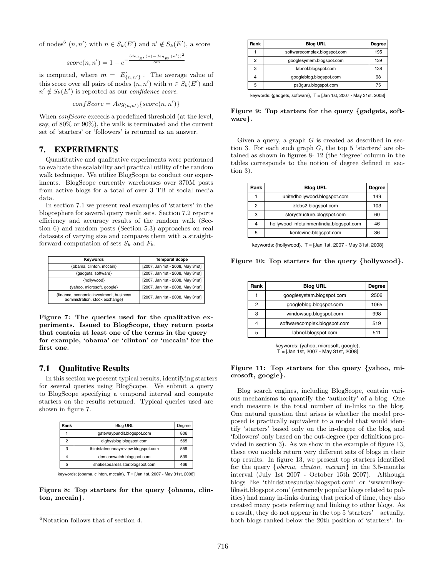of nodes<sup>6</sup>  $(n, n')$  with  $n \in S_k(E')$  and  $n' \notin S_k(E')$ , a score

$$
score(n, n') = 1 - e^{-\frac{(deg_{E'}(n) - deg_{E'}(n'))^2}{8m}}
$$

is computed, where  $m = |E'_{\{n,n'\}}|$ . The average value of this score over all pairs of nodes  $(n, n')$  with  $n \in S_k(E')$  and  $n' \notin S_k(E')$  is reported as our *confidence score*.

$$
confScore = Avg_{(n,n')} \{score(n,n')\}
$$

When *confScore* exceeds a predefined threshold (at the level, say, of 80% or 90%), the walk is terminated and the current set of 'starters' or 'followers' is returned as an answer.

## 7. EXPERIMENTS

Quantitative and qualitative experiments were performed to evaluate the scalability and practical utility of the random walk technique. We utilize BlogScope to conduct our experiments. BlogScope currently warehouses over 370M posts from active blogs for a total of over 3 TB of social media data.

In section 7.1 we present real examples of 'starters' in the blogosphere for several query result sets. Section 7.2 reports efficiency and accuracy results of the random walk (Section 6) and random posts (Section 5.3) approaches on real datasets of varying size and compares them with a straightforward computation of sets  $S_k$  and  $F_k$ .

| Keywords                                                                   | <b>Temporal Scope</b>            |  |
|----------------------------------------------------------------------------|----------------------------------|--|
| {obama, clinton, mccain}                                                   | [2007, Jan 1st - 2008, May 31st] |  |
| {gadgets, software}                                                        | [2007, Jan 1st - 2008, May 31st] |  |
| {hollywood}                                                                | [2007, Jan 1st - 2008, May 31st] |  |
| {vahoo, microsoft, google}                                                 | [2007, Jan 1st - 2008, May 31st] |  |
| {finance, economic investment, business<br>administration, stock exchange} | [2007, Jan 1st - 2008, May 31st] |  |

Figure 7: The queries used for the qualitative experiments. Issued to BlogScope, they return posts that contain at least one of the terms in the query – for example, 'obama' or 'clinton' or 'mccain' for the first one.

# 7.1 Qualitative Results

In this section we present typical results, identifying starters for several queries using BlogScope. We submit a query to BlogScope specifying a temporal interval and compute starters on the results returned. Typical queries used are shown in figure 7.

| Rank           | <b>Blog URL</b>                     |  |
|----------------|-------------------------------------|--|
|                | qatewaypundit.blogspot.com          |  |
| $\overline{c}$ | digbysblog.blogspot.com             |  |
| 3              | thirdstatesundayreview.blogspot.com |  |
| 4              | demconwatch.blogspot.com            |  |
| 5              | shakespearessister.blogspot.com     |  |

keywords: {obama, clinton, mccain}, T = [Jan 1st, 2007 - May 31st, 2008]

Figure 8: Top starters for the query {obama, clinton, mccain}.

| Rank | <b>Blog URL</b>              |     |
|------|------------------------------|-----|
|      | softwarecomplex.blogspot.com | 195 |
| 2    | googlesystem.blogspot.com    |     |
| 3    | labnol.blogspot.com          | 138 |
|      | qoogleblog.blogspot.com      |     |
| 5    | ps3quru.blogspot.com         | 75  |
|      |                              |     |

keywords: {gadgets, software}, T = [Jan 1st, 2007 - May 31st, 2008]

Figure 9: Top starters for the query {gadgets, software}.

Given a query, a graph  $G$  is created as described in section 3. For each such graph  $G$ , the top 5 'starters' are obtained as shown in figures 8- 12 (the 'degree' column in the tables corresponds to the notion of degree defined in section 3).

| Rank | <b>Blog URL</b>                          | <b>Degree</b> |
|------|------------------------------------------|---------------|
| 1    | unitedhollywood.blogspot.com             | 149           |
| 2    | zlebs2.blogspot.com                      |               |
| 3    | storystructure.blogspot.com              | 60            |
| 4    | hollywood-infotainmentindia.blogspot.com | 46            |
| 5    | kenlevine.blogspot.com                   | 36            |

keywords: {hollywood}, T = [Jan 1st, 2007 - May 31st, 2008]

Figure 10: Top starters for the query {hollywood}.

| Rank | <b>Blog URL</b>              |      |
|------|------------------------------|------|
|      | googlesystem.blogspot.com    | 2506 |
| 2    | googleblog.blogspot.com      | 1065 |
| з    | windowsup.blogspot.com       | 998  |
|      | softwarecomplex.blogspot.com | 519  |
| 5    | labnol.blogspot.com          | 511  |
|      |                              |      |

keywords: {yahoo, microsoft, google}, T = [Jan 1st, 2007 - May 31st, 2008]

#### Figure 11: Top starters for the query {yahoo, microsoft, google}.

Blog search engines, including BlogScope, contain various mechanisms to quantify the 'authority' of a blog. One such measure is the total number of in-links to the blog. One natural question that arises is whether the model proposed is practically equivalent to a model that would identify 'starters' based only on the in-degree of the blog and 'followers' only based on the out-degree (per definitions provided in section 3). As we show in the example of figure 13, these two models return very different sets of blogs in their top results. In figure 13, we present top starters identified for the query {obama, clinton, mccain} in the 3.5-months interval (July 1st 2007 - October 15th 2007). Although blogs like 'thirdstatesunday.blogspot.com' or 'wwwmikeylikesit.blogspot.com' (extremely popular blogs related to politics) had many in-links during that period of time, they also created many posts referring and linking to other blogs. As a result, they do not appear in the top 5 'starters' – actually, both blogs ranked below the 20th position of 'starters'. In-

 $6$ Notation follows that of section 4.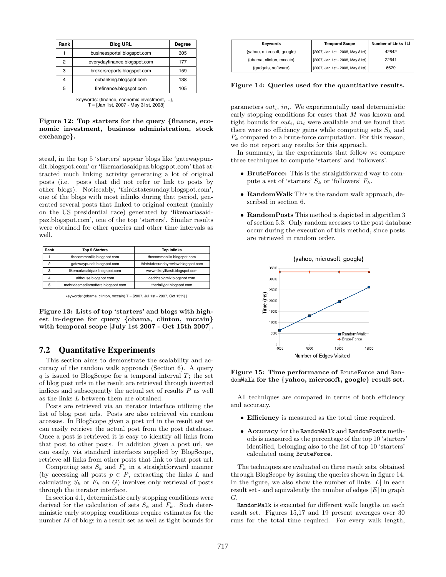| Rank | <b>Blog URL</b>              | Degree |
|------|------------------------------|--------|
|      | businessportal.blogspot.com  | 305    |
| 2    | everydayfinance.blogspot.com | 177    |
| 3    | brokersreports.blogspot.com  | 159    |
|      | eubanking.blogspot.com       | 138    |
| 5    | firefinance.blogspot.com     | 105    |

| keywords: {finance, economic investment, }, |
|---------------------------------------------|
| T = [Jan 1st, 2007 - May 31st, 2008]        |

Figure 12: Top starters for the query {finance, economic investment, business administration, stock exchange}.

stead, in the top 5 'starters' appear blogs like 'gatewaypundit.blogspot.com' or 'likemariasaidpaz.blogspot.com' that attracted much linking activity generating a lot of original posts (i.e. posts that did not refer or link to posts by other blogs). Noticeably, 'thirdstatesunday.blogspot.com', one of the blogs with most inlinks during that period, generated several posts that linked to original content (mainly on the US presidential race) generated by 'likemariasaidpaz.blogspot.com', one of the top 'starters'. Similar results were obtained for other queries and other time intervals as well.

| Rank | <b>Top 5 Starters</b>             | <b>Top Inlinks</b>                  |  |
|------|-----------------------------------|-------------------------------------|--|
|      | thecommonills.blogspot.com        | thecommonills.blogspot.com          |  |
| 2    | gatewaypundit.blogspot.com        | thirdstatesundayreview.blogspot.com |  |
| 3    | likemariasaidpaz.blogspot.com     | wwwmikeylikesit.blogspot.com        |  |
| 4    | althouse.blogspot.com             | cedricsbigmix.blogspot.com          |  |
| 5    | mcbridesmediamatters.blogspot.com | thedailyjot.blogspot.com            |  |

keywords: {obama, clinton, mccain}  $T = [2007, \text{ Jul 1st - } 2007, \text{ Oct 15th}]$  ]

Figure 13: Lists of top 'starters' and blogs with highest in-degree for query {obama, clinton, mccain} with temporal scope [July 1st 2007 - Oct 15th 2007].

## 7.2 Quantitative Experiments

This section aims to demonstrate the scalability and accuracy of the random walk approach (Section 6). A query  $q$  is issued to BlogScope for a temporal interval  $T$ ; the set of blog post urls in the result are retrieved through inverted indices and subsequently the actual set of results  $P$  as well as the links L between them are obtained.

Posts are retrieved via an iterator interface utilizing the list of blog post urls. Posts are also retrieved via random accesses. In BlogScope given a post url in the result set we can easily retrieve the actual post from the post database. Once a post is retrieved it is easy to identify all links from that post to other posts. In addition given a post url, we can easily, via standard interfaces supplied by BlogScope, retrieve all links from other posts that link to that post url.

Computing sets  $S_k$  and  $F_k$  in a straightforward manner (by accessing all posts  $p \in P$ , extracting the links L and calculating  $S_k$  or  $F_k$  on G) involves only retrieval of posts through the iterator interface.

In section 4.1, deterministic early stopping conditions were derived for the calculation of sets  $S_k$  and  $F_k$ . Such deterministic early stopping conditions require estimates for the number M of blogs in a result set as well as tight bounds for

| Kevwords                   | <b>Temporal Scope</b>            | Number of Links ILI |
|----------------------------|----------------------------------|---------------------|
| {vahoo, microsoft, google} | [2007, Jan 1st - 2008, May 31st] | 42842               |
| {obama, clinton, mccain}   | [2007, Jan 1st - 2008, May 31st] | 22641               |
| {gadgets, software}        | [2007, Jan 1st - 2008, May 31st] | 6629                |

Figure 14: Queries used for the quantitative results.

parameters  $out_i$ ,  $in_i$ . We experimentally used deterministic early stopping conditions for cases that M was known and tight bounds for  $out_i$ , in were available and we found that there were no efficiency gains while computing sets  $S_k$  and  $F_k$  compared to a brute-force computation. For this reason, we do not report any results for this approach.

In summary, in the experiments that follow we compare three techniques to compute 'starters' and 'followers'.

- BruteForce: This is the straightforward way to compute a set of 'starters'  $S_k$  or 'followers'  $F_k$ .
- RandomWalk This is the random walk approach, described in section 6.
- RandomPosts This method is depicted in algorithm 3 of section 5.3. Only random accesses to the post database occur during the execution of this method, since posts are retrieved in random order.



Figure 15: Time performance of BruteForce and RandomWalk for the {yahoo, microsoft, google} result set.

All techniques are compared in terms of both efficiency and accuracy.

- Efficiency is measured as the total time required.
- Accuracy for the RandomWalk and RandomPosts methods is measured as the percentage of the top 10 'starters' identified, belonging also to the list of top 10 'starters' calculated using BruteForce.

The techniques are evaluated on three result sets, obtained through BlogScope by issuing the queries shown in figure 14. In the figure, we also show the number of links  $|L|$  in each result set - and equivalently the number of edges  $|E|$  in graph G.

RandomWalk is executed for different walk lengths on each result set. Figures 15,17 and 19 present averages over 30 runs for the total time required. For every walk length,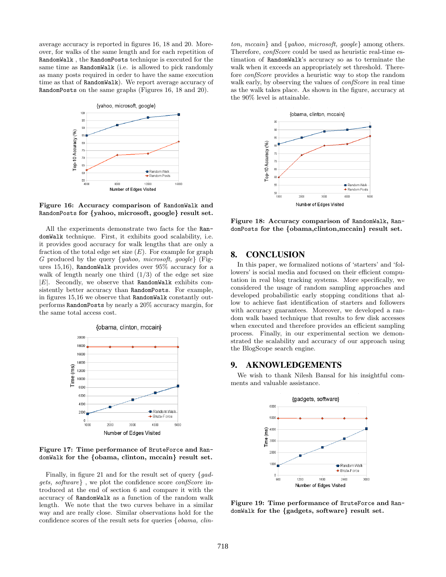average accuracy is reported in figures 16, 18 and 20. Moreover, for walks of the same length and for each repetition of RandomWalk , the RandomPosts technique is executed for the same time as RandomWalk (i.e. is allowed to pick randomly as many posts required in order to have the same execution time as that of RandomWalk). We report average accuracy of RandomPosts on the same graphs (Figures 16, 18 and 20).



Figure 16: Accuracy comparison of RandomWalk and RandomPosts for {yahoo, microsoft, google} result set.

All the experiments demonstrate two facts for the RandomWalk technique. First, it exhibits good scalability, i.e. it provides good accuracy for walk lengths that are only a fraction of the total edge set size  $(E)$ . For example for graph G produced by the query  $\{yahoo, microsoft, goode\}$  (Figures 15,16), RandomWalk provides over 95% accuracy for a walk of length nearly one third  $(1/3)$  of the edge set size  $|E|$ . Secondly, we observe that RandomWalk exhibits consistently better accuracy than RandomPosts. For example, in figures 15,16 we observe that RandomWalk constantly outperforms RandomPosts by nearly a 20% accuracy margin, for the same total access cost.



Figure 17: Time performance of BruteForce and RandomWalk for the {obama, clinton, mccain} result set.

Finally, in figure 21 and for the result set of query  $\{gad$ gets, software} , we plot the confidence score confScore introduced at the end of section 6 and compare it with the accuracy of RandomWalk as a function of the random walk length. We note that the two curves behave in a similar way and are really close. Similar observations hold for the confidence scores of the result sets for queries {obama, clin-

ton, mccain} and {yahoo, microsoft, google} among others. Therefore, *confScore* could be used as heuristic real-time estimation of RandomWalk's accuracy so as to terminate the walk when it exceeds an appropriately set threshold. Therefore confScore provides a heuristic way to stop the random walk early, by observing the values of *confScore* in real time as the walk takes place. As shown in the figure, accuracy at the 90% level is attainable.



Figure 18: Accuracy comparison of RandomWalk, RandomPosts for the {obama,clinton,mccain} result set.

# 8. CONCLUSION

In this paper, we formalized notions of 'starters' and 'followers' is social media and focused on their efficient computation in real blog tracking systems. More specifically, we considered the usage of random sampling approaches and developed probabilistic early stopping conditions that allow to achieve fast identification of starters and followers with accuracy guarantees. Moreover, we developed a random walk based technique that results to few disk accesses when executed and therefore provides an efficient sampling process. Finally, in our experimental section we demonstrated the scalability and accuracy of our approach using the BlogScope search engine.

## 9. AKNOWLEDGEMENTS

We wish to thank Nilesh Bansal for his insightful comments and valuable assistance.



Figure 19: Time performance of BruteForce and RandomWalk for the {gadgets, software} result set.